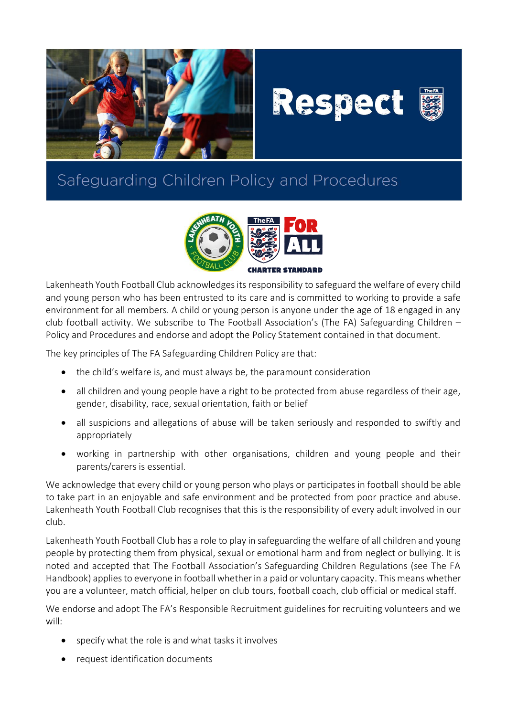





## Safeguarding Children Policy and Procedures



Lakenheath Youth Football Club acknowledges its responsibility to safeguard the welfare of every child and young person who has been entrusted to its care and is committed to working to provide a safe environment for all members. A child or young person is anyone under the age of 18 engaged in any club football activity. We subscribe to The Football Association's (The FA) Safeguarding Children – Policy and Procedures and endorse and adopt the Policy Statement contained in that document.

The key principles of The FA Safeguarding Children Policy are that:

- the child's welfare is, and must always be, the paramount consideration
- all children and young people have a right to be protected from abuse regardless of their age, gender, disability, race, sexual orientation, faith or belief
- all suspicions and allegations of abuse will be taken seriously and responded to swiftly and appropriately
- working in partnership with other organisations, children and young people and their parents/carers is essential.

We acknowledge that every child or young person who plays or participates in football should be able to take part in an enjoyable and safe environment and be protected from poor practice and abuse. Lakenheath Youth Football Club recognises that this is the responsibility of every adult involved in our club.

Lakenheath Youth Football Club has a role to play in safeguarding the welfare of all children and young people by protecting them from physical, sexual or emotional harm and from neglect or bullying. It is noted and accepted that The Football Association's Safeguarding Children Regulations (see The FA Handbook) applies to everyone in football whether in a paid or voluntary capacity. This means whether you are a volunteer, match official, helper on club tours, football coach, club official or medical staff.

We endorse and adopt The FA's Responsible Recruitment guidelines for recruiting volunteers and we will:

- specify what the role is and what tasks it involves
- request identification documents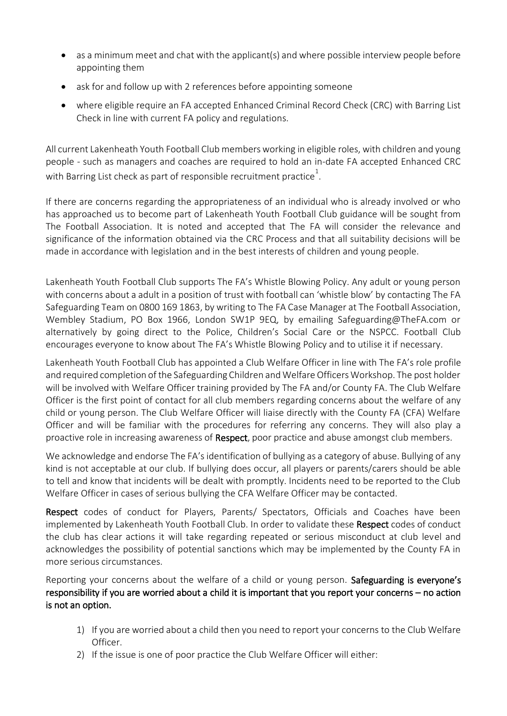- as a minimum meet and chat with the applicant(s) and where possible interview people before appointing them
- ask for and follow up with 2 references before appointing someone
- where eligible require an FA accepted Enhanced Criminal Record Check (CRC) with Barring List Check in line with current FA policy and regulations.

All current Lakenheath Youth Football Club members working in eligible roles, with children and young people - such as managers and coaches are required to hold an in-date FA accepted Enhanced CRC with Barring List check as part of responsible recruitment practice $^{\rm 1}.$ 

If there are concerns regarding the appropriateness of an individual who is already involved or who has approached us to become part of Lakenheath Youth Football Club guidance will be sought from The Football Association. It is noted and accepted that The FA will consider the relevance and significance of the information obtained via the CRC Process and that all suitability decisions will be made in accordance with legislation and in the best interests of children and young people.

Lakenheath Youth Football Club supports The FA's Whistle Blowing Policy. Any adult or young person with concerns about a adult in a position of trust with football can 'whistle blow' by contacting The FA Safeguarding Team on 0800 169 1863, by writing to The FA Case Manager at The Football Association, Wembley Stadium, PO Box 1966, London SW1P 9EQ, by emailing Safeguarding@TheFA.com or alternatively by going direct to the Police, Children's Social Care or the NSPCC. Football Club encourages everyone to know about The FA's Whistle Blowing Policy and to utilise it if necessary.

Lakenheath Youth Football Club has appointed a Club Welfare Officer in line with The FA's role profile and required completion of the Safeguarding Children and Welfare Officers Workshop. The post holder will be involved with Welfare Officer training provided by The FA and/or County FA. The Club Welfare Officer is the first point of contact for all club members regarding concerns about the welfare of any child or young person. The Club Welfare Officer will liaise directly with the County FA (CFA) Welfare Officer and will be familiar with the procedures for referring any concerns. They will also play a proactive role in increasing awareness of Respect, poor practice and abuse amongst club members.

We acknowledge and endorse The FA's identification of bullying as a category of abuse. Bullying of any kind is not acceptable at our club. If bullying does occur, all players or parents/carers should be able to tell and know that incidents will be dealt with promptly. Incidents need to be reported to the Club Welfare Officer in cases of serious bullying the CFA Welfare Officer may be contacted.

Respect codes of conduct for Players, Parents/ Spectators, Officials and Coaches have been implemented by Lakenheath Youth Football Club. In order to validate these Respect codes of conduct the club has clear actions it will take regarding repeated or serious misconduct at club level and acknowledges the possibility of potential sanctions which may be implemented by the County FA in more serious circumstances.

Reporting your concerns about the welfare of a child or young person. Safeguarding is everyone's responsibility if you are worried about a child it is important that you report your concerns – no action is not an option.

- 1) If you are worried about a child then you need to report your concerns to the Club Welfare Officer.
- 2) If the issue is one of poor practice the Club Welfare Officer will either: